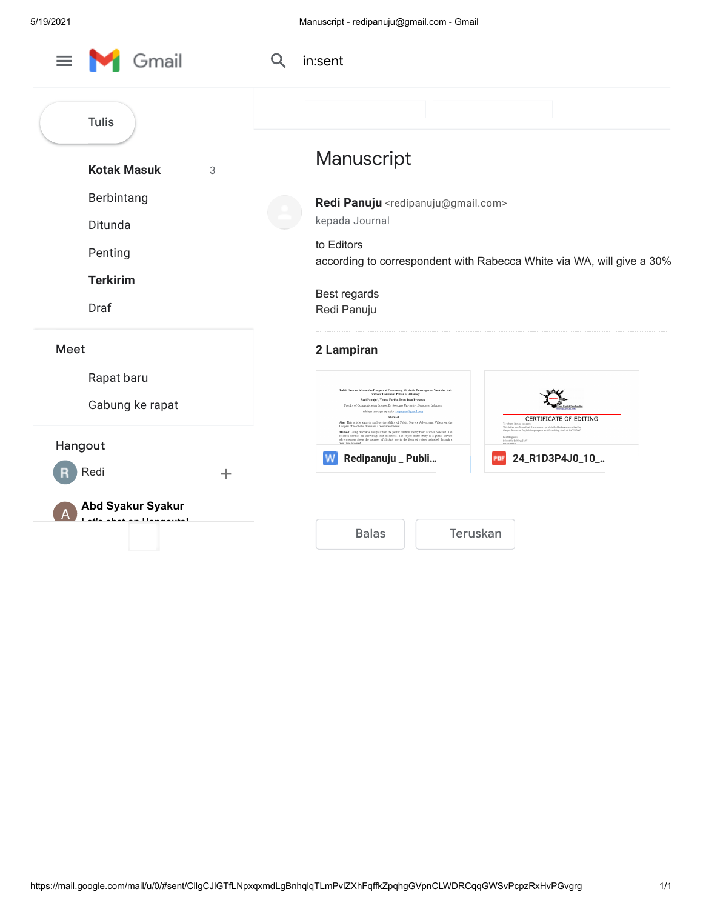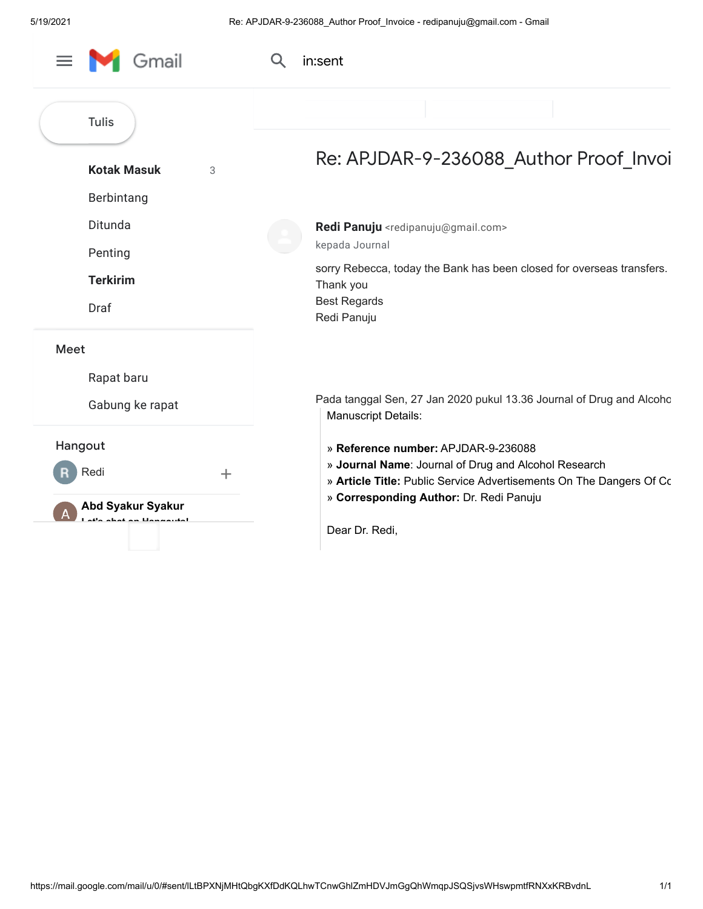| Gmail                                                | in:sent                                                                                                                                                            |
|------------------------------------------------------|--------------------------------------------------------------------------------------------------------------------------------------------------------------------|
| <b>Tulis</b>                                         |                                                                                                                                                                    |
| <b>Kotak Masuk</b><br>3<br>Berbintang                | Re: APJDAR-9-236088 Author Proof Invoi                                                                                                                             |
| Ditunda<br>Penting                                   | Redi Panuju <redipanuju@gmail.com><br/>kepada Journal</redipanuju@gmail.com>                                                                                       |
| <b>Terkirim</b><br>Draf                              | sorry Rebecca, today the Bank has been closed for overseas transfers.<br>Thank you<br><b>Best Regards</b><br>Redi Panuju                                           |
| <b>Meet</b>                                          |                                                                                                                                                                    |
| Rapat baru                                           |                                                                                                                                                                    |
| Gabung ke rapat                                      | Pada tanggal Sen, 27 Jan 2020 pukul 13.36 Journal of Drug and Alcoho<br><b>Manuscript Details:</b>                                                                 |
| Hangout<br>Redi<br>$\pm$                             | » Reference number: APJDAR-9-236088<br>» Journal Name: Journal of Drug and Alcohol Research<br>» Article Title: Public Service Advertisements On The Dangers Of Co |
| <b>Abd Syakur Syakur</b><br>l atla ahat an Hannoutal | » Corresponding Author: Dr. Redi Panuju<br>Dear Dr. Redi,                                                                                                          |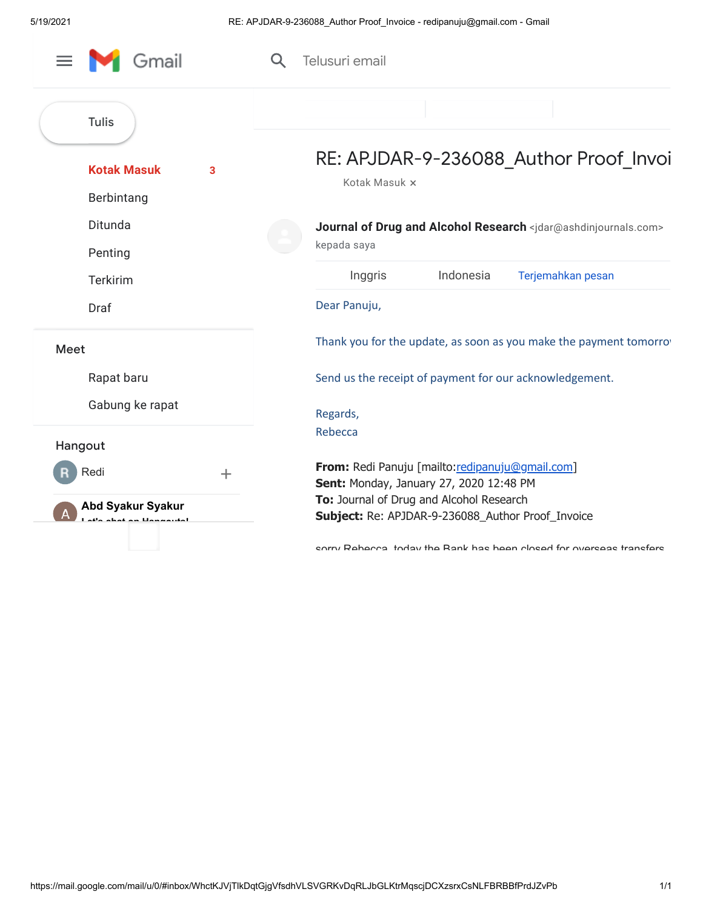| Gmail                                                           | Telusuri email                                                                                           |
|-----------------------------------------------------------------|----------------------------------------------------------------------------------------------------------|
| <b>Tulis</b>                                                    |                                                                                                          |
| <b>Kotak Masuk</b><br>3<br>Berbintang<br>Ditunda<br>Penting     | RE: APJDAR-9-236088_Author Proof_Invoi<br>Kotak Masuk x                                                  |
|                                                                 | Journal of Drug and Alcohol Research <jdar@ashdinjournals.com><br/>kepada saya</jdar@ashdinjournals.com> |
| <b>Terkirim</b>                                                 | Indonesia<br>Inggris<br>Terjemahkan pesan                                                                |
| Draf                                                            | Dear Panuju,                                                                                             |
| Meet                                                            | Thank you for the update, as soon as you make the payment tomorro                                        |
| Rapat baru                                                      | Send us the receipt of payment for our acknowledgement.                                                  |
| Gabung ke rapat<br>Hangout                                      | Regards,<br>Rebecca                                                                                      |
| Redi<br>$\pm$                                                   | From: Redi Panuju [mailto:redipanuju@gmail.com]<br>Sent: Monday, January 27, 2020 12:48 PM               |
| <b>Abd Syakur Syakur</b><br>i <sup>st</sup> e ehet en Henneutel | To: Journal of Drug and Alcohol Research<br>Subject: Re: APJDAR-9-236088_Author Proof_Invoice            |
|                                                                 | entry Rahacca today the Rank has hean closed for overseas transfers                                      |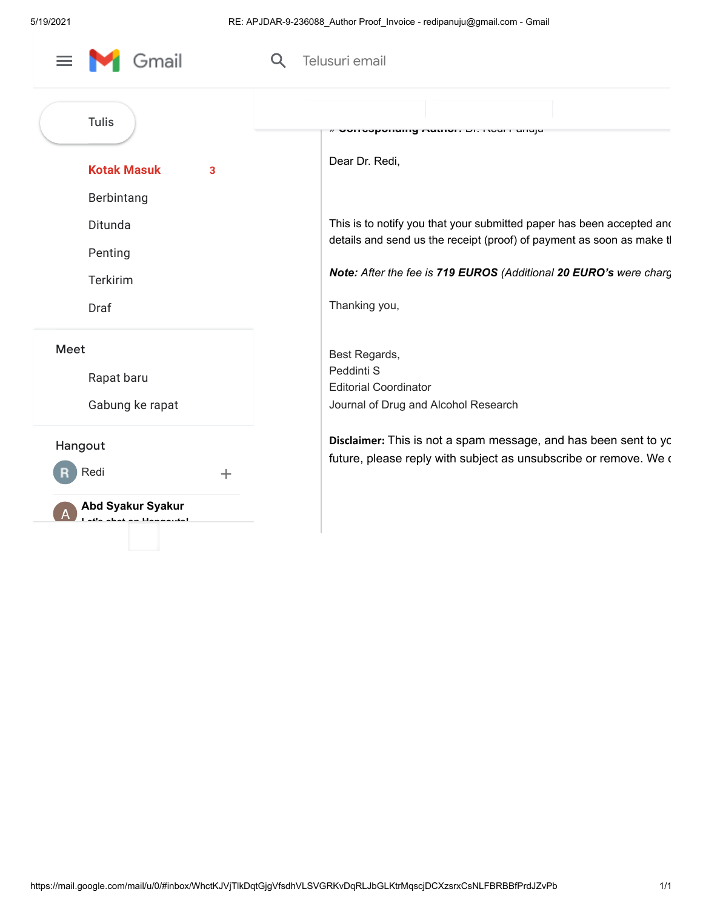| Gmail                                                                           | Telusuri email                                                                                                                                                                                                                       |
|---------------------------------------------------------------------------------|--------------------------------------------------------------------------------------------------------------------------------------------------------------------------------------------------------------------------------------|
| <b>Tulis</b><br><b>Kotak Masuk</b><br>3<br>Berbintang                           | ANIIANDIA LIII UITIONI ANIIA<br>Dear Dr. Redi,                                                                                                                                                                                       |
| Ditunda<br>Penting<br><b>Terkirim</b><br>Draf                                   | This is to notify you that your submitted paper has been accepted and<br>details and send us the receipt (proof) of payment as soon as make tl<br>Note: After the fee is 719 EUROS (Additional 20 EURO's were charg<br>Thanking you, |
| Meet<br>Rapat baru<br>Gabung ke rapat                                           | Best Regards,<br>Peddinti S<br><b>Editorial Coordinator</b><br>Journal of Drug and Alcohol Research                                                                                                                                  |
| Hangout<br>Redi<br>$\pm$<br><b>Abd Syakur Syakur</b><br>atla ahat an Llannautal | Disclaimer: This is not a spam message, and has been sent to yc<br>future, please reply with subject as unsubscribe or remove. We o                                                                                                  |